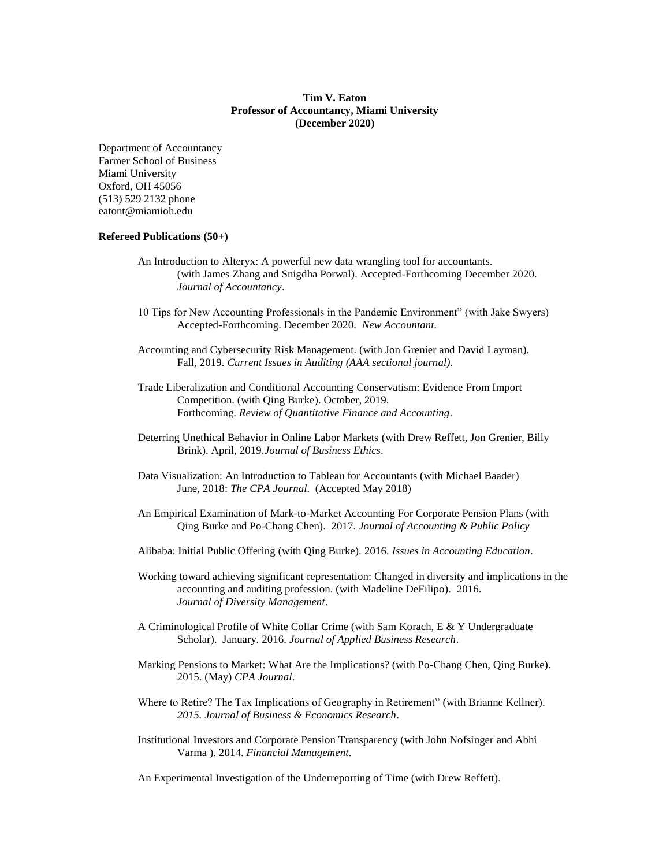### **Tim V. Eaton Professor of Accountancy, Miami University (December 2020)**

Department of Accountancy Farmer School of Business Miami University Oxford, OH 45056 (513) 529 2132 phone eatont@miamioh.edu

#### **Refereed Publications (50+)**

- An Introduction to Alteryx: A powerful new data wrangling tool for accountants. (with James Zhang and Snigdha Porwal). Accepted-Forthcoming December 2020. *Journal of Accountancy*.
- 10 Tips for New Accounting Professionals in the Pandemic Environment" (with Jake Swyers) Accepted-Forthcoming. December 2020. *New Accountant.*
- Accounting and Cybersecurity Risk Management. (with Jon Grenier and David Layman). Fall, 2019. *Current Issues in Auditing (AAA sectional journal)*.
- Trade Liberalization and Conditional Accounting Conservatism: Evidence From Import Competition. (with Qing Burke). October, 2019. Forthcoming. *Review of Quantitative Finance and Accounting.*
- Deterring Unethical Behavior in Online Labor Markets (with Drew Reffett, Jon Grenier, Billy Brink). April, 2019.*Journal of Business Ethics*.
- Data Visualization: An Introduction to Tableau for Accountants (with Michael Baader) June, 2018: *The CPA Journal*. (Accepted May 2018)
- An Empirical Examination of Mark-to-Market Accounting For Corporate Pension Plans (with Qing Burke and Po-Chang Chen). 2017. *Journal of Accounting & Public Policy*
- Alibaba: Initial Public Offering (with Qing Burke). 2016. *Issues in Accounting Education*.
- Working toward achieving significant representation: Changed in diversity and implications in the accounting and auditing profession. (with Madeline DeFilipo). 2016. *Journal of Diversity Management*.
- A Criminological Profile of White Collar Crime (with Sam Korach, E & Y Undergraduate Scholar). January. 2016. *Journal of Applied Business Research*.
- Marking Pensions to Market: What Are the Implications? (with Po-Chang Chen, Qing Burke). 2015. (May) *CPA Journal*.
- Where to Retire? The Tax Implications of Geography in Retirement" (with Brianne Kellner). *2015. Journal of Business & Economics Research*.
- Institutional Investors and Corporate Pension Transparency (with John Nofsinger and Abhi Varma ). 2014. *Financial Management*.

An Experimental Investigation of the Underreporting of Time (with Drew Reffett).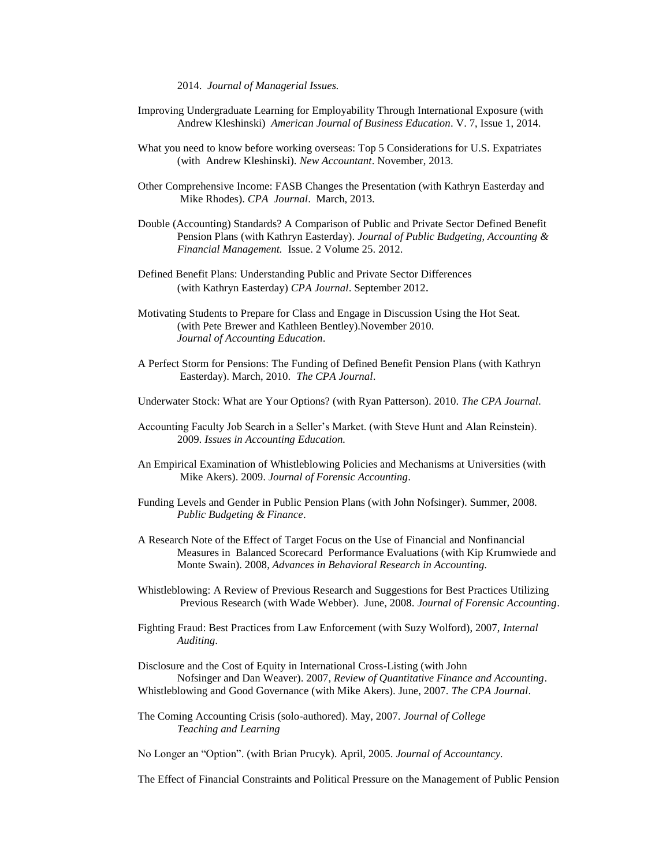2014. *Journal of Managerial Issues.*

- Improving Undergraduate Learning for Employability Through International Exposure (with Andrew Kleshinski) *American Journal of Business Education*. V. 7, Issue 1, 2014.
- What you need to know before working overseas: Top 5 Considerations for U.S. Expatriates (with Andrew Kleshinski). *New Accountant*. November, 2013.
- Other Comprehensive Income: FASB Changes the Presentation (with Kathryn Easterday and Mike Rhodes). *CPA Journal*. March, 2013.
- Double (Accounting) Standards? A Comparison of Public and Private Sector Defined Benefit Pension Plans (with Kathryn Easterday). *Journal of Public Budgeting, Accounting & Financial Management.* Issue. 2 Volume 25. 2012.
- Defined Benefit Plans: Understanding Public and Private Sector Differences (with Kathryn Easterday) *CPA Journal*. September 2012.
- Motivating Students to Prepare for Class and Engage in Discussion Using the Hot Seat. (with Pete Brewer and Kathleen Bentley).November 2010. *Journal of Accounting Education*.
- A Perfect Storm for Pensions: The Funding of Defined Benefit Pension Plans (with Kathryn Easterday). March, 2010. *The CPA Journal*.
- Underwater Stock: What are Your Options? (with Ryan Patterson). 2010. *The CPA Journal*.
- Accounting Faculty Job Search in a Seller's Market. (with Steve Hunt and Alan Reinstein). 2009*. Issues in Accounting Education.*
- An Empirical Examination of Whistleblowing Policies and Mechanisms at Universities (with Mike Akers). 2009. *Journal of Forensic Accounting*.
- Funding Levels and Gender in Public Pension Plans (with John Nofsinger). Summer, 2008. *Public Budgeting & Finance*.
- A Research Note of the Effect of Target Focus on the Use of Financial and Nonfinancial Measures in Balanced Scorecard Performance Evaluations (with Kip Krumwiede and Monte Swain). 2008, *Advances in Behavioral Research in Accounting*.
- Whistleblowing: A Review of Previous Research and Suggestions for Best Practices Utilizing Previous Research (with Wade Webber). June, 2008. *Journal of Forensic Accounting*.
- Fighting Fraud: Best Practices from Law Enforcement (with Suzy Wolford), 2007, *Internal Auditing*.
- Disclosure and the Cost of Equity in International Cross-Listing (with John Nofsinger and Dan Weaver). 2007, *Review of Quantitative Finance and Accounting*. Whistleblowing and Good Governance (with Mike Akers). June, 2007. *The CPA Journal*.
- The Coming Accounting Crisis (solo-authored). May, 2007. *Journal of College Teaching and Learning*

No Longer an "Option". (with Brian Prucyk). April, 2005. *Journal of Accountancy.*

The Effect of Financial Constraints and Political Pressure on the Management of Public Pension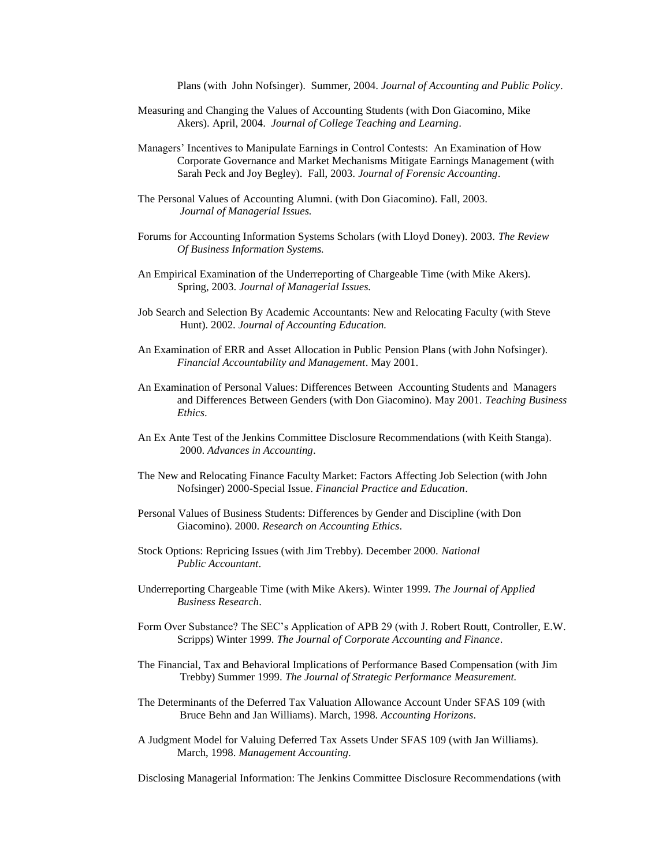Plans (with John Nofsinger). Summer, 2004. *Journal of Accounting and Public Policy*.

- Measuring and Changing the Values of Accounting Students (with Don Giacomino, Mike Akers). April, 2004. *Journal of College Teaching and Learning*.
- Managers' Incentives to Manipulate Earnings in Control Contests: An Examination of How Corporate Governance and Market Mechanisms Mitigate Earnings Management (with Sarah Peck and Joy Begley). Fall, 2003. *Journal of Forensic Accounting*.
- The Personal Values of Accounting Alumni. (with Don Giacomino). Fall, 2003. *Journal of Managerial Issues.*
- Forums for Accounting Information Systems Scholars (with Lloyd Doney). 2003. *The Review Of Business Information Systems.*
- An Empirical Examination of the Underreporting of Chargeable Time (with Mike Akers). Spring, 2003. *Journal of Managerial Issues.*
- Job Search and Selection By Academic Accountants: New and Relocating Faculty (with Steve Hunt). 2002. *Journal of Accounting Education.*
- An Examination of ERR and Asset Allocation in Public Pension Plans (with John Nofsinger). *Financial Accountability and Management*. May 2001.
- An Examination of Personal Values: Differences Between Accounting Students and Managers and Differences Between Genders (with Don Giacomino). May 2001. *Teaching Business Ethics*.
- An Ex Ante Test of the Jenkins Committee Disclosure Recommendations (with Keith Stanga). 2000. *Advances in Accounting*.
- The New and Relocating Finance Faculty Market: Factors Affecting Job Selection (with John Nofsinger) 2000-Special Issue. *Financial Practice and Education*.
- Personal Values of Business Students: Differences by Gender and Discipline (with Don Giacomino). 2000. *Research on Accounting Ethics*.
- Stock Options: Repricing Issues (with Jim Trebby). December 2000. *National Public Accountant*.
- Underreporting Chargeable Time (with Mike Akers). Winter 1999. *The Journal of Applied Business Research*.
- Form Over Substance? The SEC's Application of APB 29 (with J. Robert Routt, Controller, E.W. Scripps) Winter 1999. *The Journal of Corporate Accounting and Finance*.
- The Financial, Tax and Behavioral Implications of Performance Based Compensation (with Jim Trebby) Summer 1999. *The Journal of Strategic Performance Measurement.*
- The Determinants of the Deferred Tax Valuation Allowance Account Under SFAS 109 (with Bruce Behn and Jan Williams). March, 1998. *Accounting Horizons*.
- A Judgment Model for Valuing Deferred Tax Assets Under SFAS 109 (with Jan Williams). March, 1998. *Management Accounting*.

Disclosing Managerial Information: The Jenkins Committee Disclosure Recommendations (with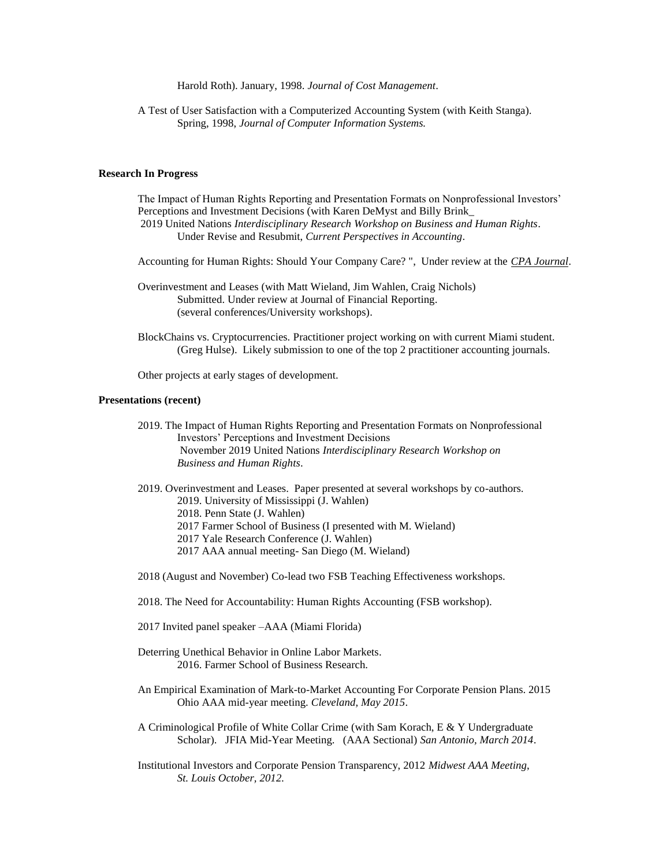Harold Roth). January, 1998. *Journal of Cost Management*.

A Test of User Satisfaction with a Computerized Accounting System (with Keith Stanga). Spring, 1998, *Journal of Computer Information Systems.*

# **Research In Progress**

The Impact of Human Rights Reporting and Presentation Formats on Nonprofessional Investors' Perceptions and Investment Decisions (with Karen DeMyst and Billy Brink\_ 2019 United Nations *Interdisciplinary Research Workshop on Business and Human Rights*. Under Revise and Resubmit, *Current Perspectives in Accounting*.

- Accounting for Human Rights: Should Your Company Care? ", Under review at the *CPA Journal*.
- Overinvestment and Leases (with Matt Wieland, Jim Wahlen, Craig Nichols) Submitted. Under review at Journal of Financial Reporting. (several conferences/University workshops).
- BlockChains vs. Cryptocurrencies. Practitioner project working on with current Miami student. (Greg Hulse). Likely submission to one of the top 2 practitioner accounting journals.

Other projects at early stages of development.

### **Presentations (recent)**

2019. The Impact of Human Rights Reporting and Presentation Formats on Nonprofessional Investors' Perceptions and Investment Decisions November 2019 United Nations *Interdisciplinary Research Workshop on Business and Human Rights*.

2019. Overinvestment and Leases. Paper presented at several workshops by co-authors. 2019. University of Mississippi (J. Wahlen) 2018. Penn State (J. Wahlen) 2017 Farmer School of Business (I presented with M. Wieland) 2017 Yale Research Conference (J. Wahlen) 2017 AAA annual meeting- San Diego (M. Wieland)

2018 (August and November) Co-lead two FSB Teaching Effectiveness workshops.

- 2018. The Need for Accountability: Human Rights Accounting (FSB workshop).
- 2017 Invited panel speaker –AAA (Miami Florida)
- Deterring Unethical Behavior in Online Labor Markets. 2016. Farmer School of Business Research.
- An Empirical Examination of Mark-to-Market Accounting For Corporate Pension Plans. 2015 Ohio AAA mid-year meeting. *Cleveland, May 2015*.
- A Criminological Profile of White Collar Crime (with Sam Korach, E & Y Undergraduate Scholar). JFIA Mid-Year Meeting. (AAA Sectional) *San Antonio, March 2014*.
- Institutional Investors and Corporate Pension Transparency, 2012 *Midwest AAA Meeting*, *St. Louis October, 2012.*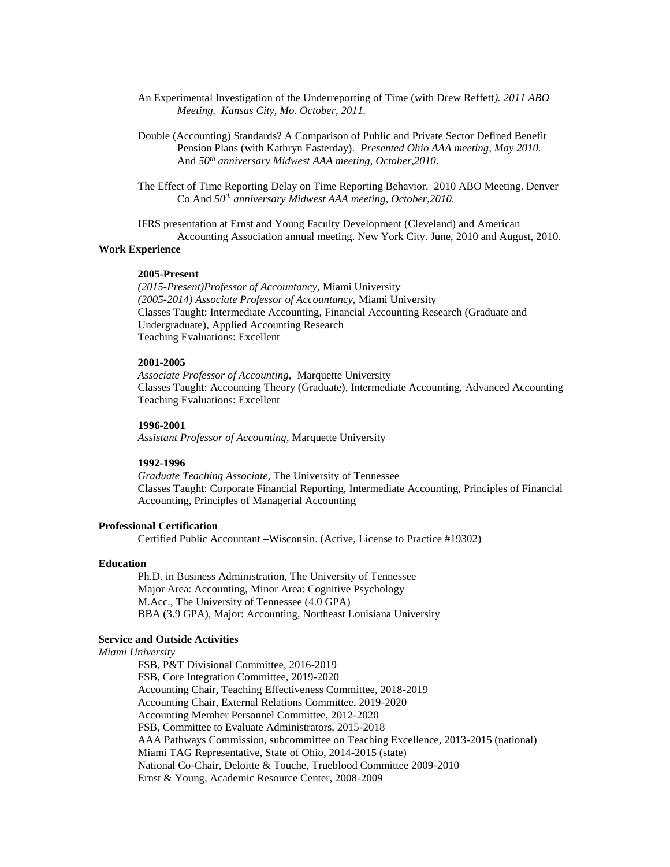- An Experimental Investigation of the Underreporting of Time (with Drew Reffett*). 2011 ABO Meeting. Kansas City, Mo. October, 2011.*
- Double (Accounting) Standards? A Comparison of Public and Private Sector Defined Benefit Pension Plans (with Kathryn Easterday). *Presented Ohio AAA meeting, May 2010.* And *50th anniversary Midwest AAA meeting, October,2010.*
- The Effect of Time Reporting Delay on Time Reporting Behavior. 2010 ABO Meeting. Denver Co And *50th anniversary Midwest AAA meeting, October,2010.*

IFRS presentation at Ernst and Young Faculty Development (Cleveland) and American Accounting Association annual meeting. New York City. June, 2010 and August, 2010. **Work Experience**

#### **2005-Present**

*(2015-Present)Professor of Accountancy,* Miami University *(2005-2014) Associate Professor of Accountancy,* Miami University Classes Taught: Intermediate Accounting, Financial Accounting Research (Graduate and Undergraduate), Applied Accounting Research Teaching Evaluations: Excellent

### **2001-2005**

*Associate Professor of Accounting,* Marquette University Classes Taught: Accounting Theory (Graduate), Intermediate Accounting, Advanced Accounting Teaching Evaluations: Excellent

#### **1996-2001**

*Assistant Professor of Accounting,* Marquette University

## **1992-1996**

*Graduate Teaching Associate,* The University of Tennessee Classes Taught: Corporate Financial Reporting, Intermediate Accounting, Principles of Financial Accounting, Principles of Managerial Accounting

### **Professional Certification**

Certified Public Accountant **–**Wisconsin. (Active, License to Practice #19302)

#### **Education**

Ph.D. in Business Administration, The University of Tennessee Major Area: Accounting, Minor Area: Cognitive Psychology M.Acc., The University of Tennessee (4.0 GPA) BBA (3.9 GPA), Major: Accounting, Northeast Louisiana University

## **Service and Outside Activities**

#### *Miami University*

FSB, P&T Divisional Committee, 2016-2019 FSB, Core Integration Committee, 2019-2020 Accounting Chair, Teaching Effectiveness Committee, 2018-2019 Accounting Chair, External Relations Committee, 2019-2020 Accounting Member Personnel Committee, 2012-2020 FSB, Committee to Evaluate Administrators, 2015-2018 AAA Pathways Commission, subcommittee on Teaching Excellence, 2013-2015 (national) Miami TAG Representative, State of Ohio, 2014-2015 (state) National Co-Chair, Deloitte & Touche, Trueblood Committee 2009-2010 Ernst & Young, Academic Resource Center, 2008-2009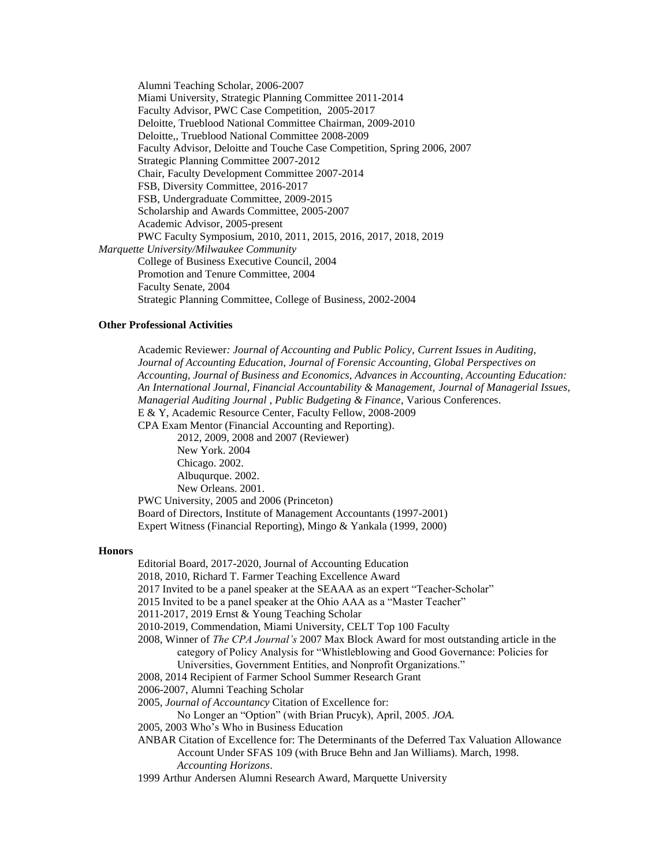Alumni Teaching Scholar, 2006-2007 Miami University, Strategic Planning Committee 2011-2014 Faculty Advisor, PWC Case Competition, 2005-2017 Deloitte, Trueblood National Committee Chairman, 2009-2010 Deloitte,, Trueblood National Committee 2008-2009 Faculty Advisor, Deloitte and Touche Case Competition, Spring 2006, 2007 Strategic Planning Committee 2007-2012 Chair, Faculty Development Committee 2007-2014 FSB, Diversity Committee, 2016-2017 FSB, Undergraduate Committee, 2009-2015 Scholarship and Awards Committee, 2005-2007 Academic Advisor, 2005-present PWC Faculty Symposium, 2010, 2011, 2015, 2016, 2017, 2018, 2019 *Marquette University/Milwaukee Community* College of Business Executive Council, 2004 Promotion and Tenure Committee, 2004 Faculty Senate, 2004 Strategic Planning Committee, College of Business, 2002-2004

# **Other Professional Activities**

Academic Reviewer*: Journal of Accounting and Public Policy, Current Issues in Auditing, Journal of Accounting Education, Journal of Forensic Accounting, Global Perspectives on Accounting, Journal of Business and Economics, Advances in Accounting, Accounting Education: An International Journal, Financial Accountability & Management, Journal of Managerial Issues, Managerial Auditing Journal* , *Public Budgeting & Finance*, Various Conferences. E & Y, Academic Resource Center, Faculty Fellow, 2008-2009 CPA Exam Mentor (Financial Accounting and Reporting). 2012, 2009, 2008 and 2007 (Reviewer) New York. 2004

Chicago. 2002. Albuqurque. 2002. New Orleans. 2001.

PWC University, 2005 and 2006 (Princeton)

Board of Directors, Institute of Management Accountants (1997-2001) Expert Witness (Financial Reporting), Mingo & Yankala (1999, 2000)

#### **Honors**

Editorial Board, 2017-2020, Journal of Accounting Education

2018, 2010, Richard T. Farmer Teaching Excellence Award

2017 Invited to be a panel speaker at the SEAAA as an expert "Teacher-Scholar"

2015 Invited to be a panel speaker at the Ohio AAA as a "Master Teacher"

2011-2017, 2019 Ernst & Young Teaching Scholar

2010-2019, Commendation, Miami University, CELT Top 100 Faculty

2008, Winner of *The CPA Journal's* 2007 Max Block Award for most outstanding article in the category of Policy Analysis for "Whistleblowing and Good Governance: Policies for Universities, Government Entities, and Nonprofit Organizations."

2008, 2014 Recipient of Farmer School Summer Research Grant

2006-2007, Alumni Teaching Scholar

2005, *Journal of Accountancy* Citation of Excellence for:

No Longer an "Option" (with Brian Prucyk), April, 2005. *JOA.*

2005, 2003 Who's Who in Business Education

ANBAR Citation of Excellence for: The Determinants of the Deferred Tax Valuation Allowance Account Under SFAS 109 (with Bruce Behn and Jan Williams). March, 1998. *Accounting Horizons*.

1999 Arthur Andersen Alumni Research Award, Marquette University